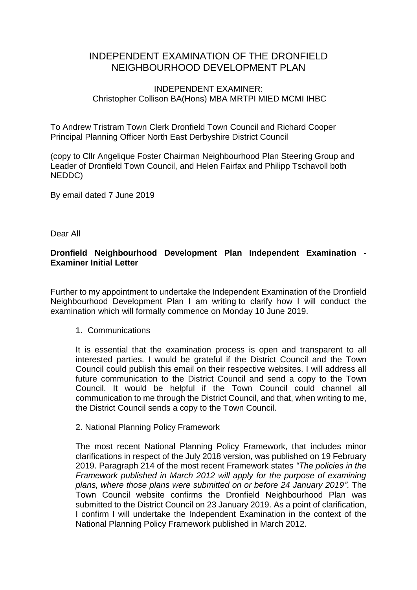# INDEPENDENT EXAMINATION OF THE DRONFIELD NEIGHBOURHOOD DEVELOPMENT PLAN

# INDEPENDENT EXAMINER: Christopher Collison BA(Hons) MBA MRTPI MIED MCMI IHBC

To Andrew Tristram Town Clerk Dronfield Town Council and Richard Cooper Principal Planning Officer North East Derbyshire District Council

(copy to Cllr Angelique Foster Chairman Neighbourhood Plan Steering Group and Leader of Dronfield Town Council, and Helen Fairfax and Philipp Tschavoll both NEDDC)

By email dated 7 June 2019

Dear All

# **Dronfield Neighbourhood Development Plan Independent Examination - Examiner Initial Letter**

Further to my appointment to undertake the Independent Examination of the Dronfield Neighbourhood Development Plan I am writing to clarify how I will conduct the examination which will formally commence on Monday 10 June 2019.

## 1. Communications

It is essential that the examination process is open and transparent to all interested parties. I would be grateful if the District Council and the Town Council could publish this email on their respective websites. I will address all future communication to the District Council and send a copy to the Town Council. It would be helpful if the Town Council could channel all communication to me through the District Council, and that, when writing to me, the District Council sends a copy to the Town Council.

#### 2. National Planning Policy Framework

The most recent National Planning Policy Framework, that includes minor clarifications in respect of the July 2018 version, was published on 19 February 2019. Paragraph 214 of the most recent Framework states *"The policies in the Framework published in March 2012 will apply for the purpose of examining plans, where those plans were submitted on or before 24 January 2019".* The Town Council website confirms the Dronfield Neighbourhood Plan was submitted to the District Council on 23 January 2019. As a point of clarification, I confirm I will undertake the Independent Examination in the context of the National Planning Policy Framework published in March 2012.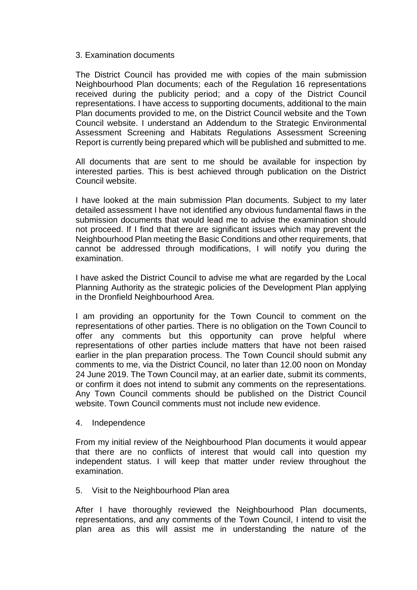#### 3. Examination documents

The District Council has provided me with copies of the main submission Neighbourhood Plan documents; each of the Regulation 16 representations received during the publicity period; and a copy of the District Council representations. I have access to supporting documents, additional to the main Plan documents provided to me, on the District Council website and the Town Council website. I understand an Addendum to the Strategic Environmental Assessment Screening and Habitats Regulations Assessment Screening Report is currently being prepared which will be published and submitted to me.

All documents that are sent to me should be available for inspection by interested parties. This is best achieved through publication on the District Council website.

I have looked at the main submission Plan documents. Subject to my later detailed assessment I have not identified any obvious fundamental flaws in the submission documents that would lead me to advise the examination should not proceed. If I find that there are significant issues which may prevent the Neighbourhood Plan meeting the Basic Conditions and other requirements, that cannot be addressed through modifications, I will notify you during the examination.

I have asked the District Council to advise me what are regarded by the Local Planning Authority as the strategic policies of the Development Plan applying in the Dronfield Neighbourhood Area.

I am providing an opportunity for the Town Council to comment on the representations of other parties. There is no obligation on the Town Council to offer any comments but this opportunity can prove helpful where representations of other parties include matters that have not been raised earlier in the plan preparation process. The Town Council should submit any comments to me, via the District Council, no later than 12.00 noon on Monday 24 June 2019. The Town Council may, at an earlier date, submit its comments, or confirm it does not intend to submit any comments on the representations. Any Town Council comments should be published on the District Council website. Town Council comments must not include new evidence.

#### 4. Independence

From my initial review of the Neighbourhood Plan documents it would appear that there are no conflicts of interest that would call into question my independent status. I will keep that matter under review throughout the examination.

## 5. Visit to the Neighbourhood Plan area

After I have thoroughly reviewed the Neighbourhood Plan documents, representations, and any comments of the Town Council, I intend to visit the plan area as this will assist me in understanding the nature of the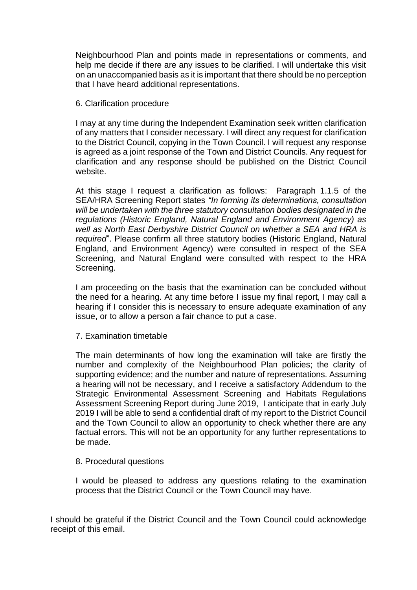Neighbourhood Plan and points made in representations or comments, and help me decide if there are any issues to be clarified. I will undertake this visit on an unaccompanied basis as it is important that there should be no perception that I have heard additional representations.

#### 6. Clarification procedure

I may at any time during the Independent Examination seek written clarification of any matters that I consider necessary. I will direct any request for clarification to the District Council, copying in the Town Council. I will request any response is agreed as a joint response of the Town and District Councils. Any request for clarification and any response should be published on the District Council website.

At this stage I request a clarification as follows: Paragraph 1.1.5 of the SEA/HRA Screening Report states *"In forming its determinations, consultation will be undertaken with the three statutory consultation bodies designated in the regulations (Historic England, Natural England and Environment Agency) as well as North East Derbyshire District Council on whether a SEA and HRA is required*". Please confirm all three statutory bodies (Historic England, Natural England, and Environment Agency) were consulted in respect of the SEA Screening, and Natural England were consulted with respect to the HRA Screening.

I am proceeding on the basis that the examination can be concluded without the need for a hearing. At any time before I issue my final report, I may call a hearing if I consider this is necessary to ensure adequate examination of any issue, or to allow a person a fair chance to put a case.

#### 7. Examination timetable

The main determinants of how long the examination will take are firstly the number and complexity of the Neighbourhood Plan policies; the clarity of supporting evidence; and the number and nature of representations. Assuming a hearing will not be necessary, and I receive a satisfactory Addendum to the Strategic Environmental Assessment Screening and Habitats Regulations Assessment Screening Report during June 2019, I anticipate that in early July 2019 I will be able to send a confidential draft of my report to the District Council and the Town Council to allow an opportunity to check whether there are any factual errors. This will not be an opportunity for any further representations to be made.

## 8. Procedural questions

I would be pleased to address any questions relating to the examination process that the District Council or the Town Council may have.

I should be grateful if the District Council and the Town Council could acknowledge receipt of this email.